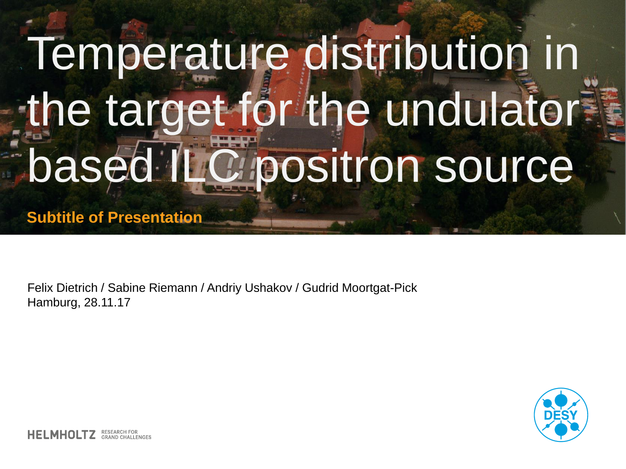## Temperature distribution in the target for the undulator **based ILC positron source**

**Subtitle of Presentation**

Felix Dietrich / Sabine Riemann / Andriy Ushakov / Gudrid Moortgat-Pick Hamburg, 28.11.17

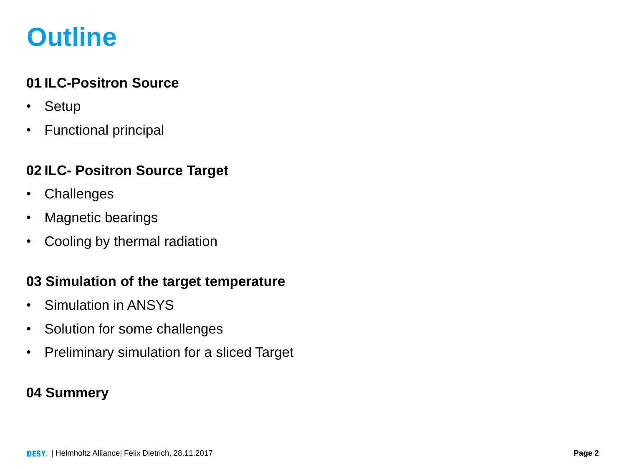### **Outline**

#### **01 ILC-Positron Source**

- Setup
- Functional principal

#### **02 ILC- Positron Source Target**

- Challenges
- Magnetic bearings
- Cooling by thermal radiation

#### **03 Simulation of the target temperature**

- Simulation in ANSYS
- Solution for some challenges
- Preliminary simulation for a sliced Target

#### **04 Summery**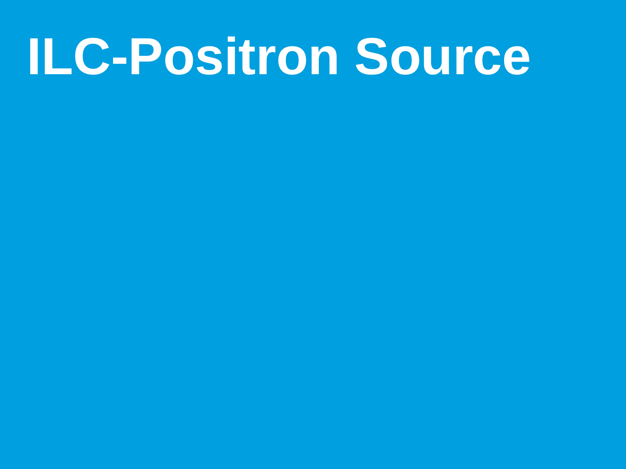## **ILC-Positron Source**

- 
- 
- 
- 
- 
- 
-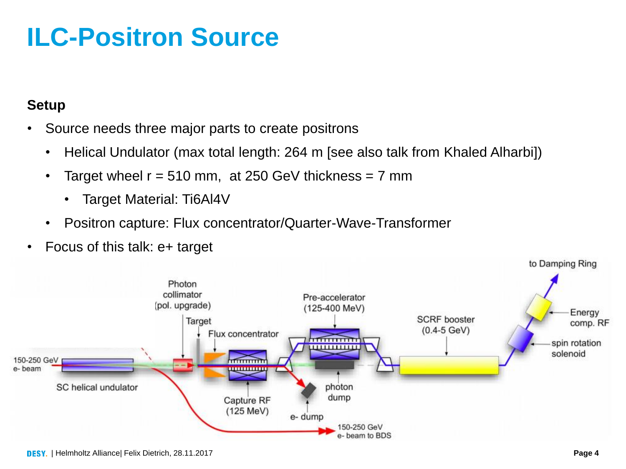## **ILC-Positron Source**

#### **Setup**

- Source needs three major parts to create positrons
	- Helical Undulator (max total length: 264 m [see also talk from Khaled Alharbi])
	- Target wheel  $r = 510$  mm, at 250 GeV thickness  $= 7$  mm
		- Target Material: Ti6Al4V
	- Positron capture: Flux concentrator/Quarter-Wave-Transformer
- Focus of this talk: e+ target

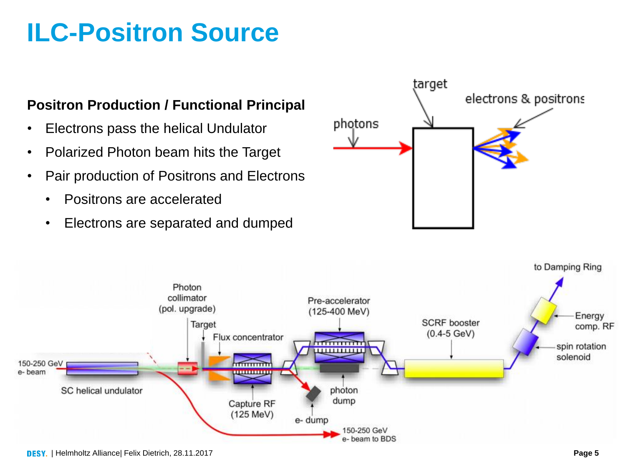## **ILC-Positron Source**

#### **Positron Production / Functional Principal**

- Electrons pass the helical Undulator
- Polarized Photon beam hits the Target
- Pair production of Positrons and Electrons
	- Positrons are accelerated
	- Electrons are separated and dumped



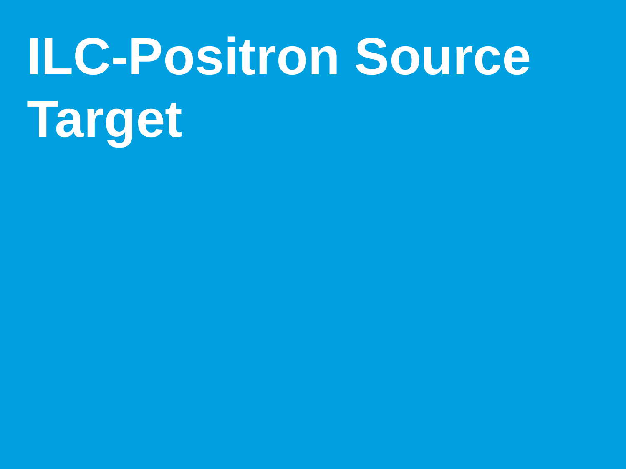# **ILC-Positron Source Target**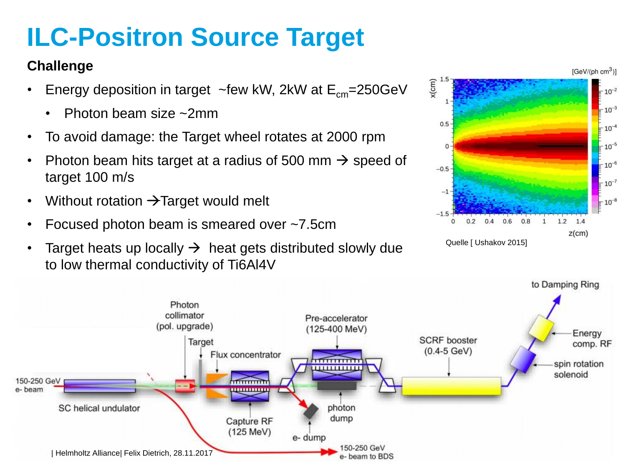## **ILC-Positron Source Target**

#### **Challenge**

- Energy deposition in target  $\sim$ few kW, 2kW at  $E_{cm}$ =250GeV
	- Photon beam size ~2mm
- To avoid damage: the Target wheel rotates at 2000 rpm
- Photon beam hits target at a radius of 500 mm  $\rightarrow$  speed of target 100 m/s
- Without rotation  $\rightarrow$  Target would melt
- Focused photon beam is smeared over ~7.5cm
- Target heats up locally  $\rightarrow$  heat gets distributed slowly due to low thermal conductivity of Ti6Al4V



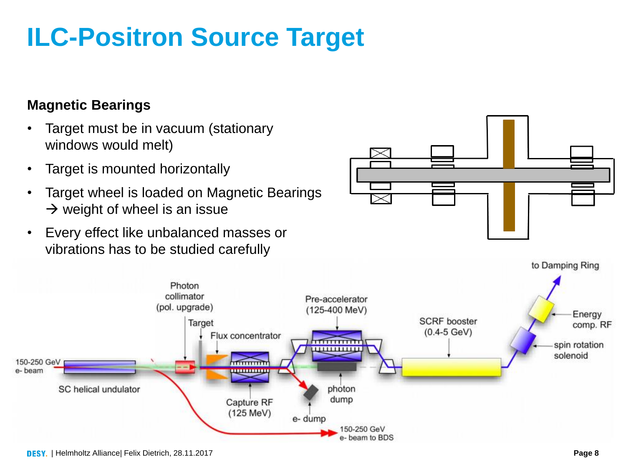SC helical undulator

150-250 GeV

e-beam

## **ILC-Positron Source Target**

#### **Magnetic Bearings**

- Target must be in vacuum (stationary windows would melt)
- Target is mounted horizontally
- Target wheel is loaded on Magnetic Bearings  $\rightarrow$  weight of wheel is an issue

Photon collimator

(pol. upgrade)

Target

Flux concentrator

पापापापा

Capture RF  $(125 \text{ MeV})$ 

> 150-250 GeV e- beam to BDS

• Every effect like unbalanced masses or vibrations has to be studied carefully

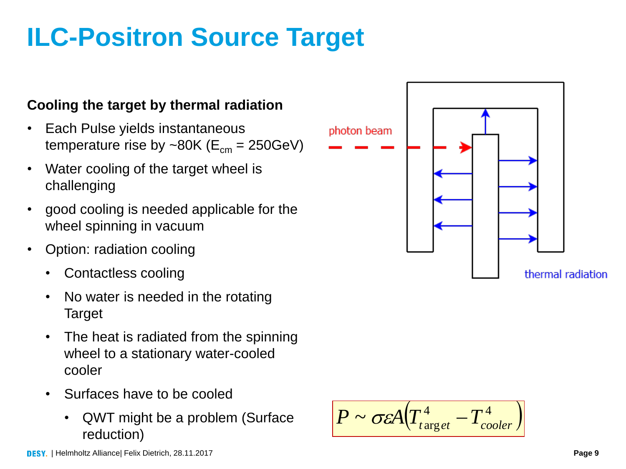## **ILC-Positron Source Target**

#### **Cooling the target by thermal radiation**

- Each Pulse yields instantaneous temperature rise by ~80K ( $E_{cm}$  = 250GeV)
- Water cooling of the target wheel is challenging
- good cooling is needed applicable for the wheel spinning in vacuum
- Option: radiation cooling
	- Contactless cooling
	- No water is needed in the rotating Target
	- The heat is radiated from the spinning wheel to a stationary water-cooled cooler
	- Surfaces have to be cooled
		- QWT might be a problem (Surface  $P \sim \sigma \varepsilon A (T_{target}^4 T_{cooler}^4)$ <br>reduction)



 $P \sim \sigma \varepsilon A |T_{tx}^4$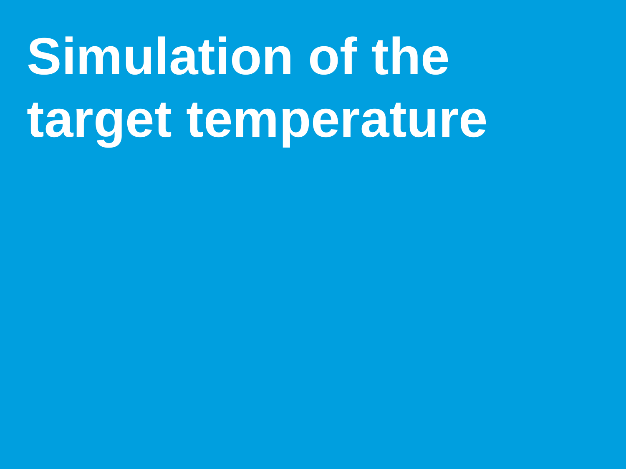# **Simulation of the target temperature**

- 
- -
	-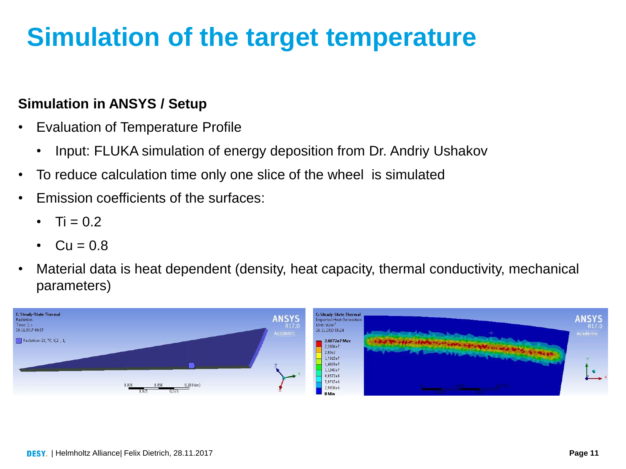## **Simulation of the target temperature**

#### **Simulation in ANSYS / Setup**

- Evaluation of Temperature Profile
	- Input: FLUKA simulation of energy deposition from Dr. Andriy Ushakov
- To reduce calculation time only one slice of the wheel is simulated
- Emission coefficients of the surfaces:
	- Ti =  $0.2$
	- $Cu = 0.8$
- Material data is heat dependent (density, heat capacity, thermal conductivity, mechanical parameters)

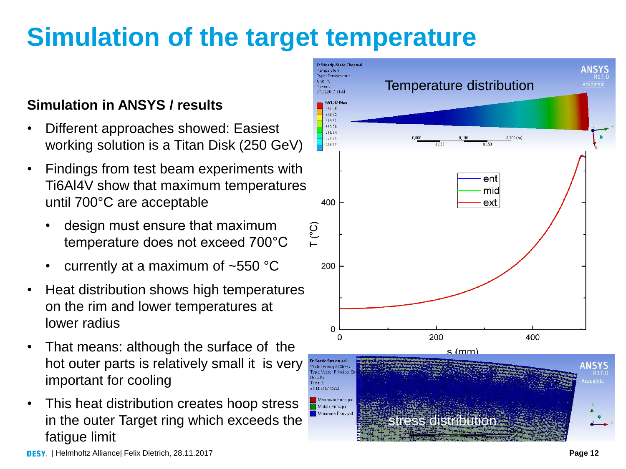## **Simulation of the target temperature**

#### **Simulation in ANSYS / results**

- Different approaches showed: Easiest working solution is a Titan Disk (250 GeV)
- Findings from test beam experiments with Ti6Al4V show that maximum temperatures until 700°C are acceptable
	- design must ensure that maximum temperature does not exceed 700°C
	- currently at a maximum of ~550 °C
- Heat distribution shows high temperatures on the rim and lower temperatures at lower radius
- That means: although the surface of the hot outer parts is relatively small it is very important for cooling
- This heat distribution creates hoop stress in the outer Target ring which exceeds the fatigue limit

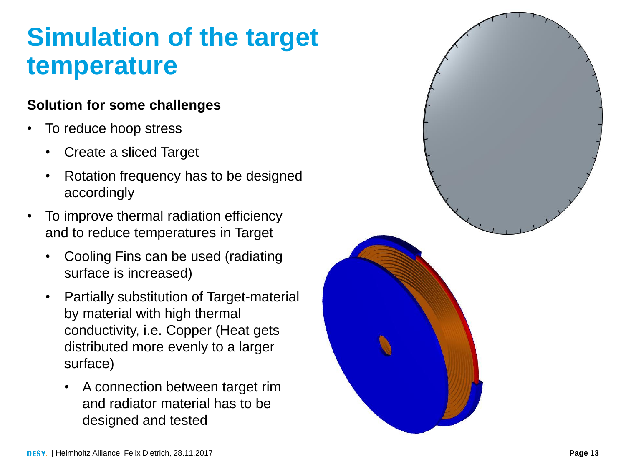### **Simulation of the target temperature**

#### **Solution for some challenges**

- To reduce hoop stress
	- Create a sliced Target
	- Rotation frequency has to be designed accordingly
- To improve thermal radiation efficiency and to reduce temperatures in Target
	- Cooling Fins can be used (radiating surface is increased)
	- Partially substitution of Target -material by material with high thermal conductivity, i.e. Copper (Heat gets distributed more evenly to a larger surface)
		- A connection between target rim and radiator material has to be designed and tested

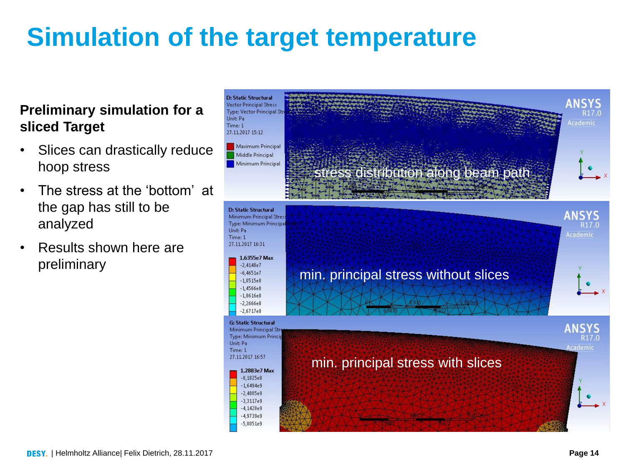## **Simulation of the target temperature**

#### **Preliminary simulation for a sliced Target**

- Slices can drastically reduce hoop stress
- The stress at the 'bottom' at the gap has still to be analyzed
- Results shown here are preliminary